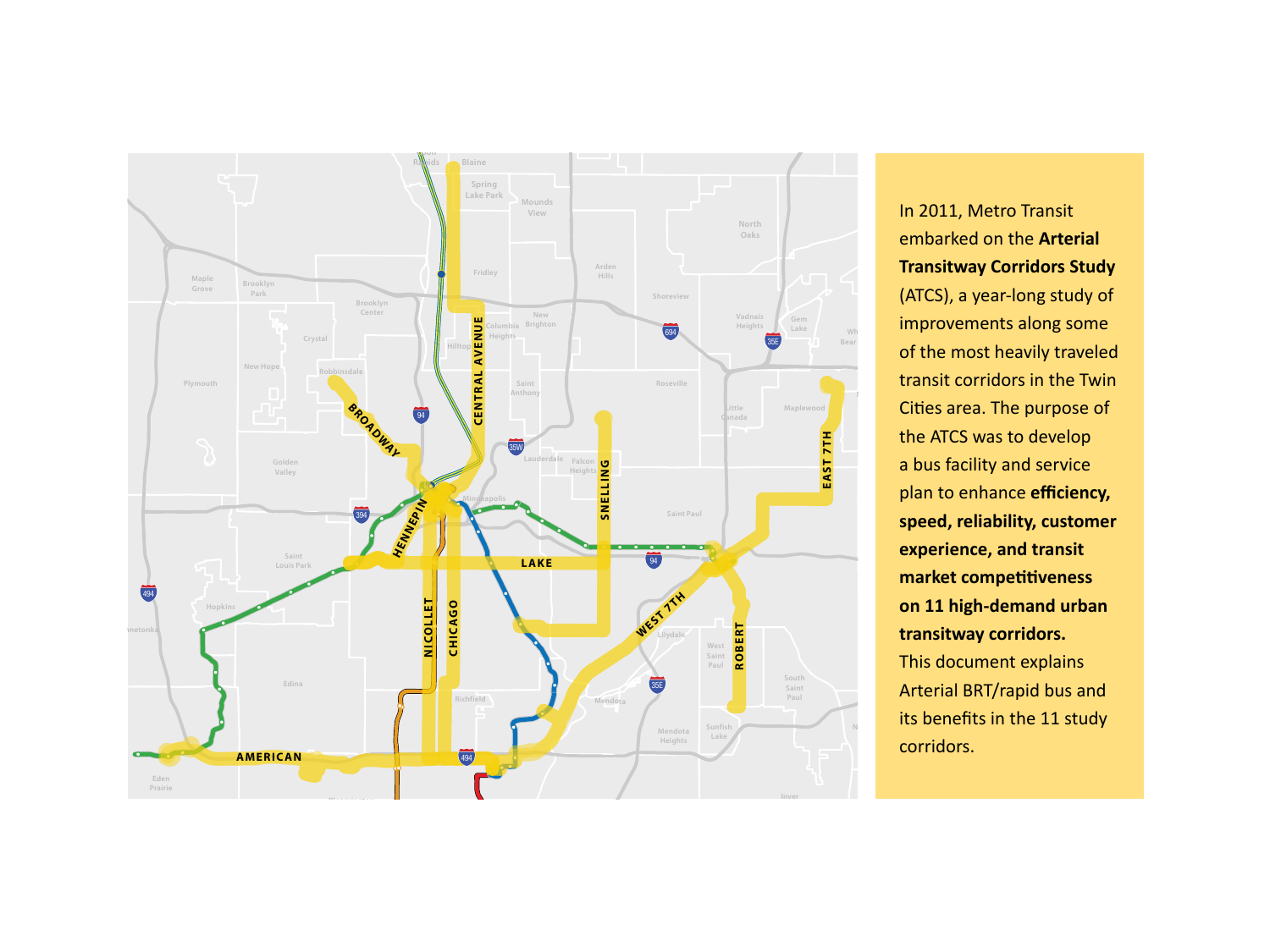

In 2011, Metro Transit embarked on the **Arterial Transitway Corridors Study** (ATCS), a year-long study of improvements along some of the most heavily traveled transit corridors in the Twin Cities area. The purpose of the ATCS was to develop a bus facility and service plan to enhance **efficiency, speed, reliability, customer experience, and transit market competitiveness on 11 high-demand urban transitway corridors.** This document explains Arterial BRT/rapid bus and its benefits in the 11 study corridors.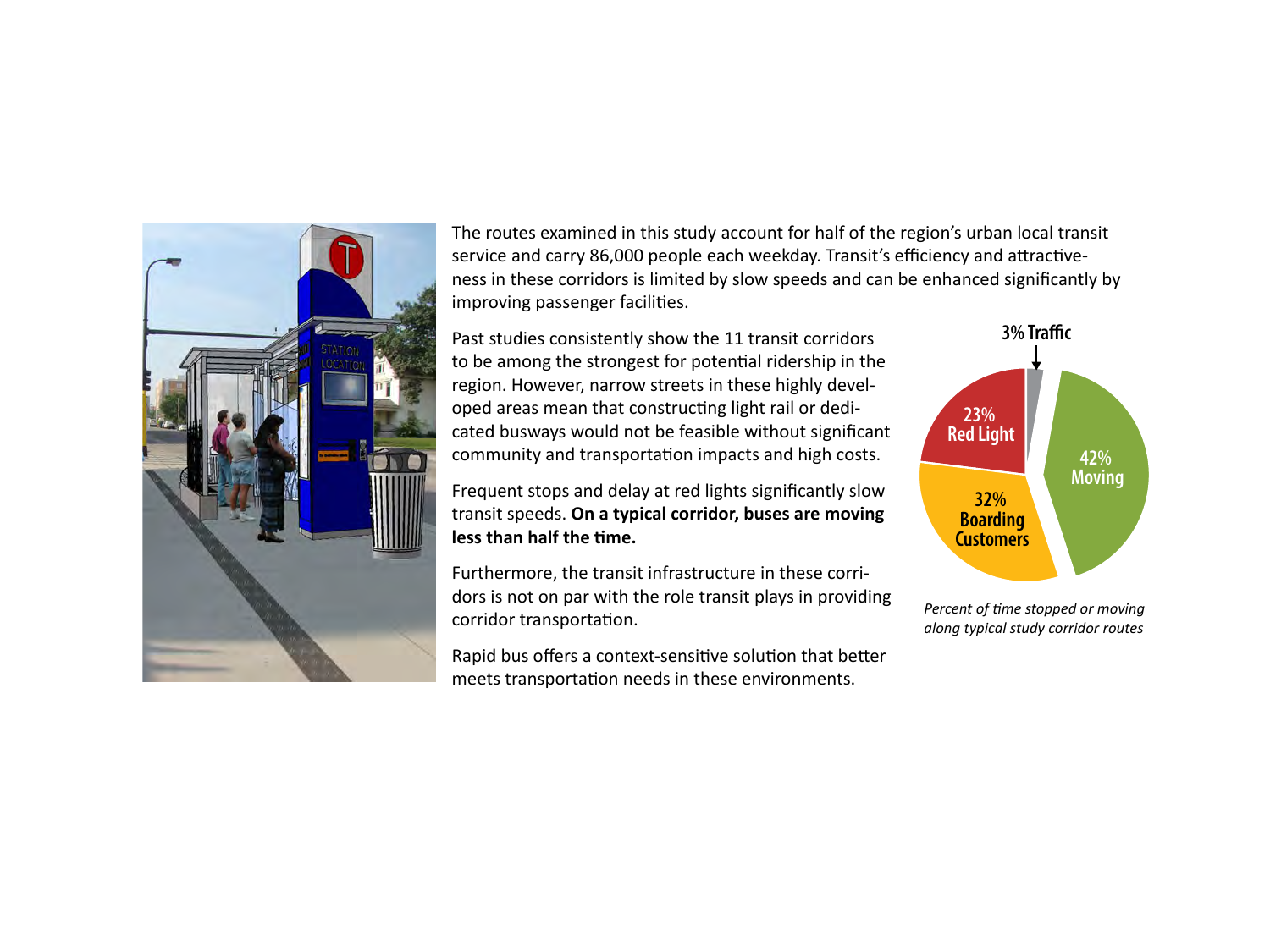

The routes examined in this study account for half of the region's urban local transit service and carry 86,000 people each weekday. Transit's efficiency and attractiveness in these corridors is limited by slow speeds and can be enhanced significantly by improving passenger facilities.

Past studies consistently show the 11 transit corridors to be among the strongest for potential ridership in the region. However, narrow streets in these highly developed areas mean that constructing light rail or dedicated busways would not be feasible without significant community and transportation impacts and high costs.

Frequent stops and delay at red lights significantly slow transit speeds. **On a typical corridor, buses are moving less than half the time.**

Furthermore, the transit infrastructure in these corridors is not on par with the role transit plays in providing corridor transportation.

Rapid bus offers a context-sensitive solution that better meets transportation needs in these environments.



*Percent of time stopped or moving along typical study corridor routes*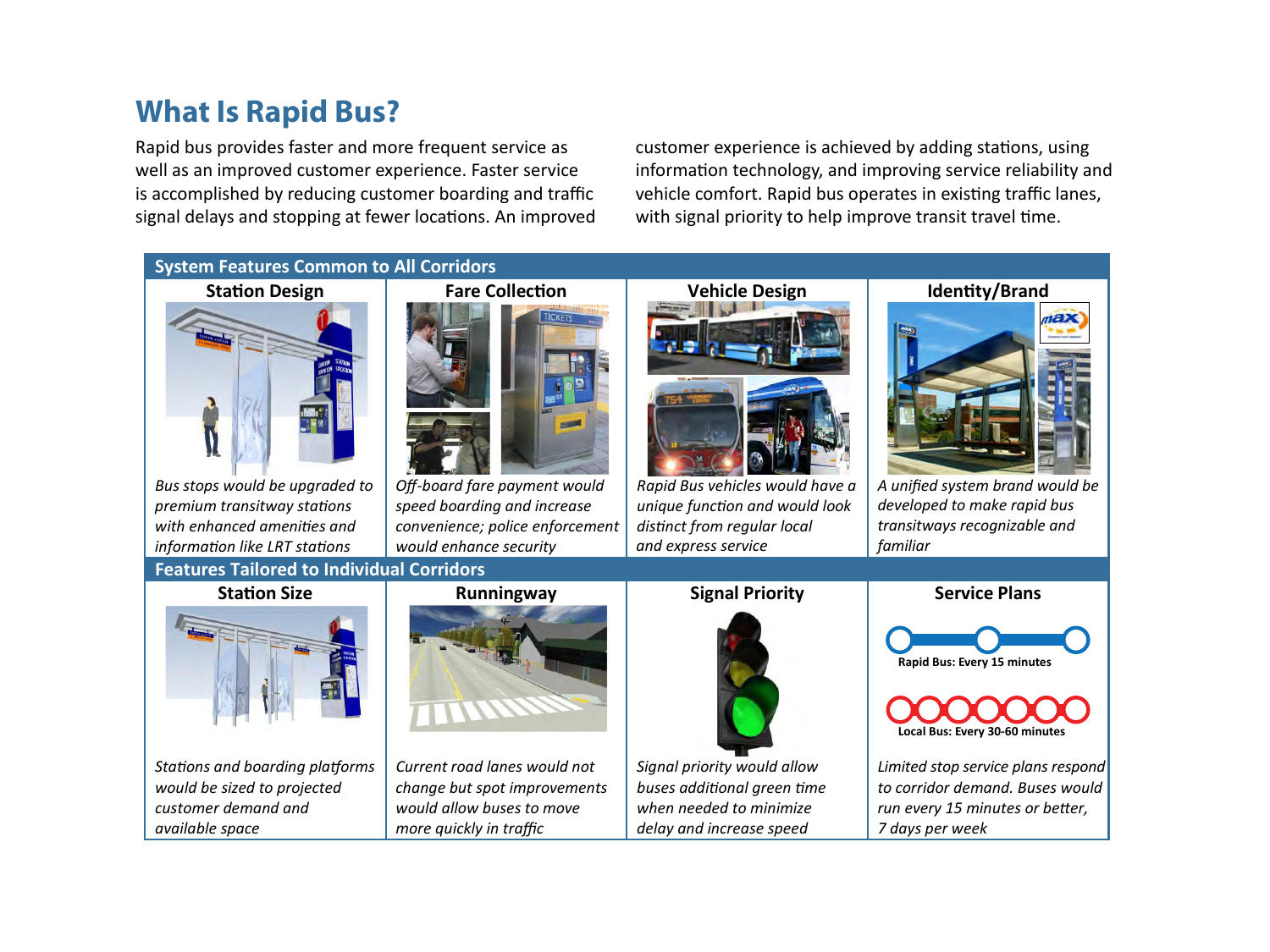### **What Is Rapid Bus?**

**Rapid Bus**  Rapid bus provides faster and more frequent service as signal delays and stopping at fewer locations. An improved well as an improved customer experience. Faster service is accomplished by reducing customer boarding and traffic

ll as an improved customer experience. Faster service **information technology, and improving service** reliability and accomplished by reducing customer boarding and traffic vehicle comfort. Rapid bus operates in existing traffic lanes, customer experience is achieved by adding stations, using with signal priority to help improve transit travel time.

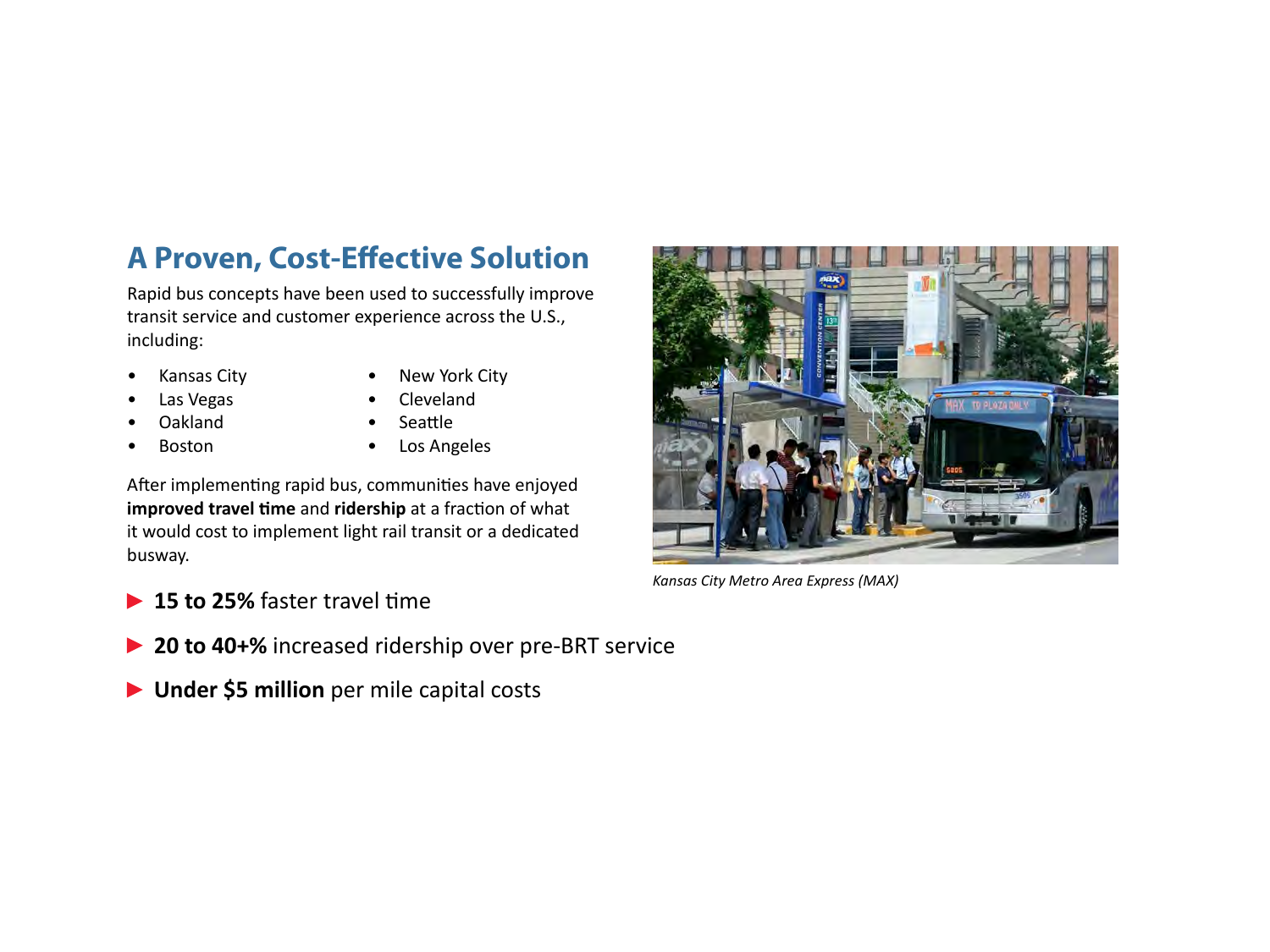# **A Proven, Cost-Effective Solution**

Rapid bus concepts have been used to successfully improve transit service and customer experience across the U.S., including:

• Kansas City

• New York City

• Las Vegas

• Cleveland **Seattle** 

• Oakland • Boston

• Los Angeles

After implementing rapid bus, communities have enjoyed **improved travel time** and **ridership** at a fraction of what it would cost to implement light rail transit or a dedicated busway.



*Kansas City Metro Area Express (MAX)*

- ▶ 15 to 25% faster travel time
- **▶ 20 to 40+%** increased ridership over pre-BRT service
- **Under \$5 million** per mile capital costs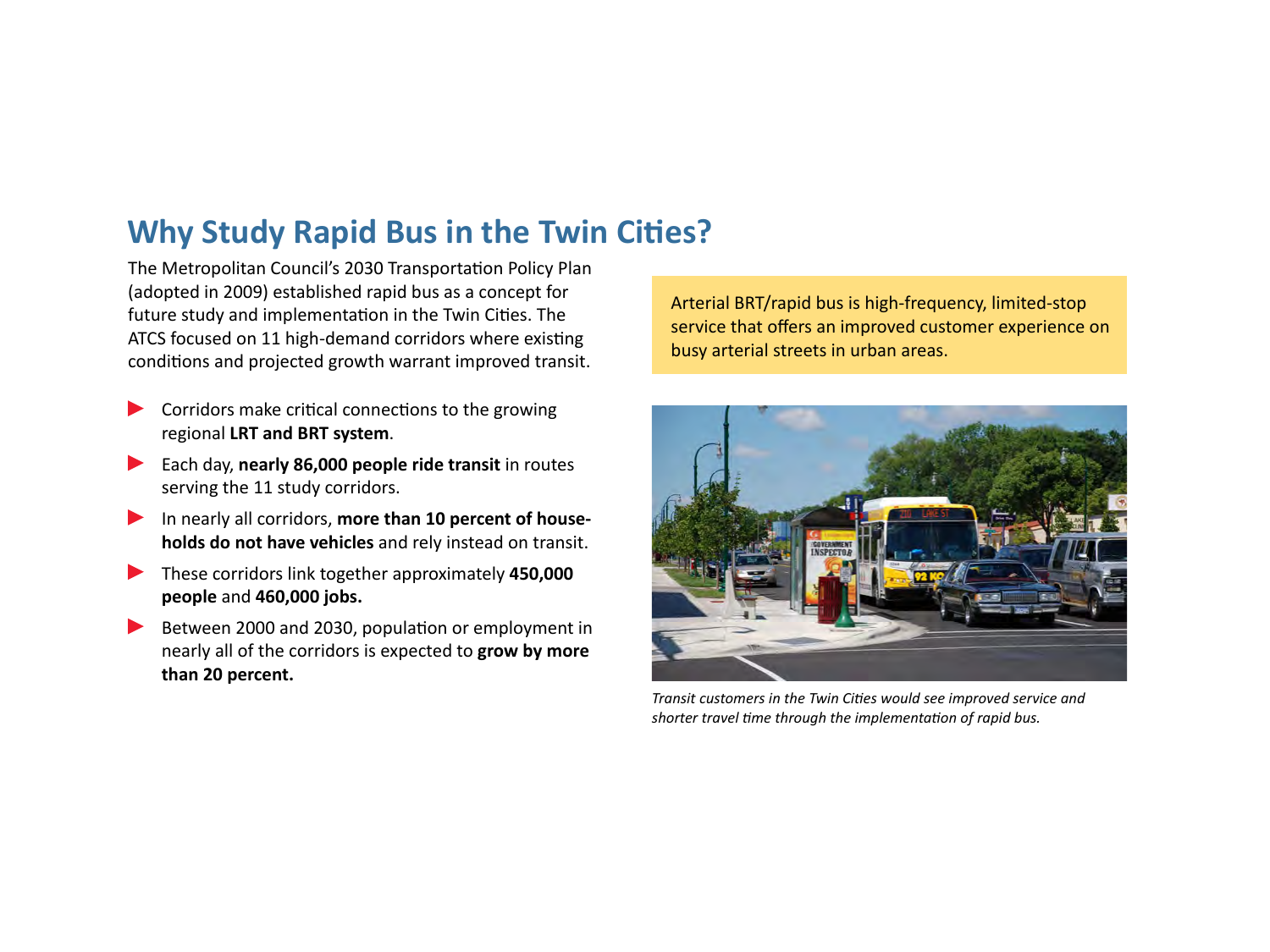## **Why Study Rapid Bus in the Twin Cities?**

The Metropolitan Council's 2030 Transportation Policy Plan (adopted in 2009) established rapid bus as a concept for future study and implementation in the Twin Cities. The ATCS focused on 11 high-demand corridors where existing conditions and projected growth warrant improved transit.

- Corridors make critical connections to the growing regional **LRT and BRT system**.
- Each day, **nearly 86,000 people ride transit** in routes serving the 11 study corridors.
- In nearly all corridors, **more than 10 percent of households do not have vehicles** and rely instead on transit.
- These corridors link together approximately **450,000 people** and **460,000 jobs.**
- Between 2000 and 2030, population or employment in nearly all of the corridors is expected to **grow by more than 20 percent.**

Arterial BRT/rapid bus is high-frequency, limited-stop service that offers an improved customer experience on busy arterial streets in urban areas.



*Transit customers in the Twin Cities would see improved service and shorter travel time through the implementation of rapid bus.*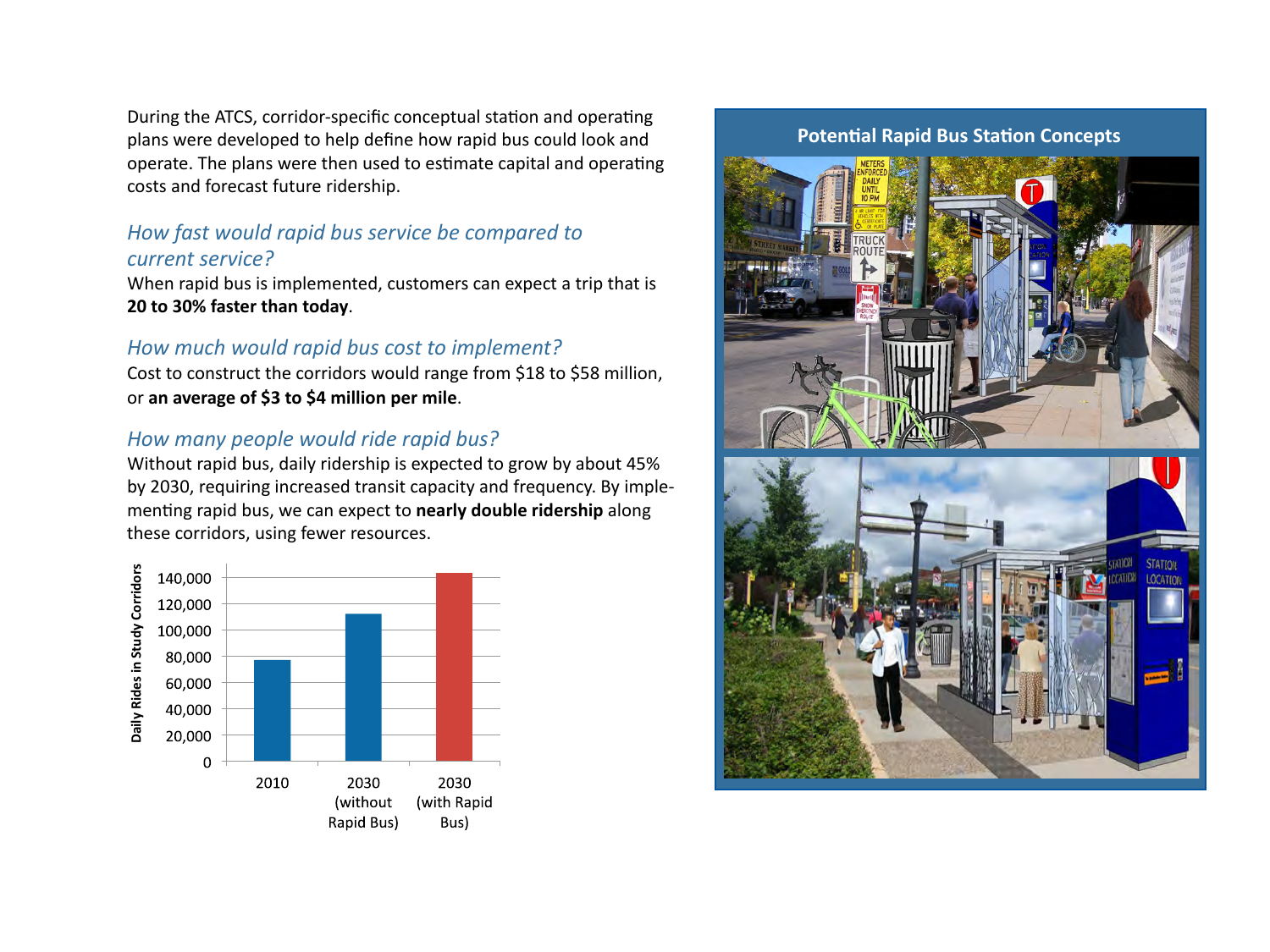During the ATCS, corridor-specific conceptual station and operating plans were developed to help define how rapid bus could look and operate. The plans were then used to estimate capital and operating costs and forecast future ridership.

### *How fast would rapid bus service be compared to current service?*

When rapid bus is implemented, customers can expect a trip that is **20 to 30% faster than today**.

#### *How much would rapid bus cost to implement?*

Cost to construct the corridors would range from \$18 to \$58 million, or **an average of \$3 to \$4 million per mile**.

#### *How many people would ride rapid bus?*

Without rapid bus, daily ridership is expected to grow by about 45% by 2030, requiring increased transit capacity and frequency. By implementing rapid bus, we can expect to **nearly double ridership** along these corridors, using fewer resources.



#### **Potential Rapid Bus Station Concepts**



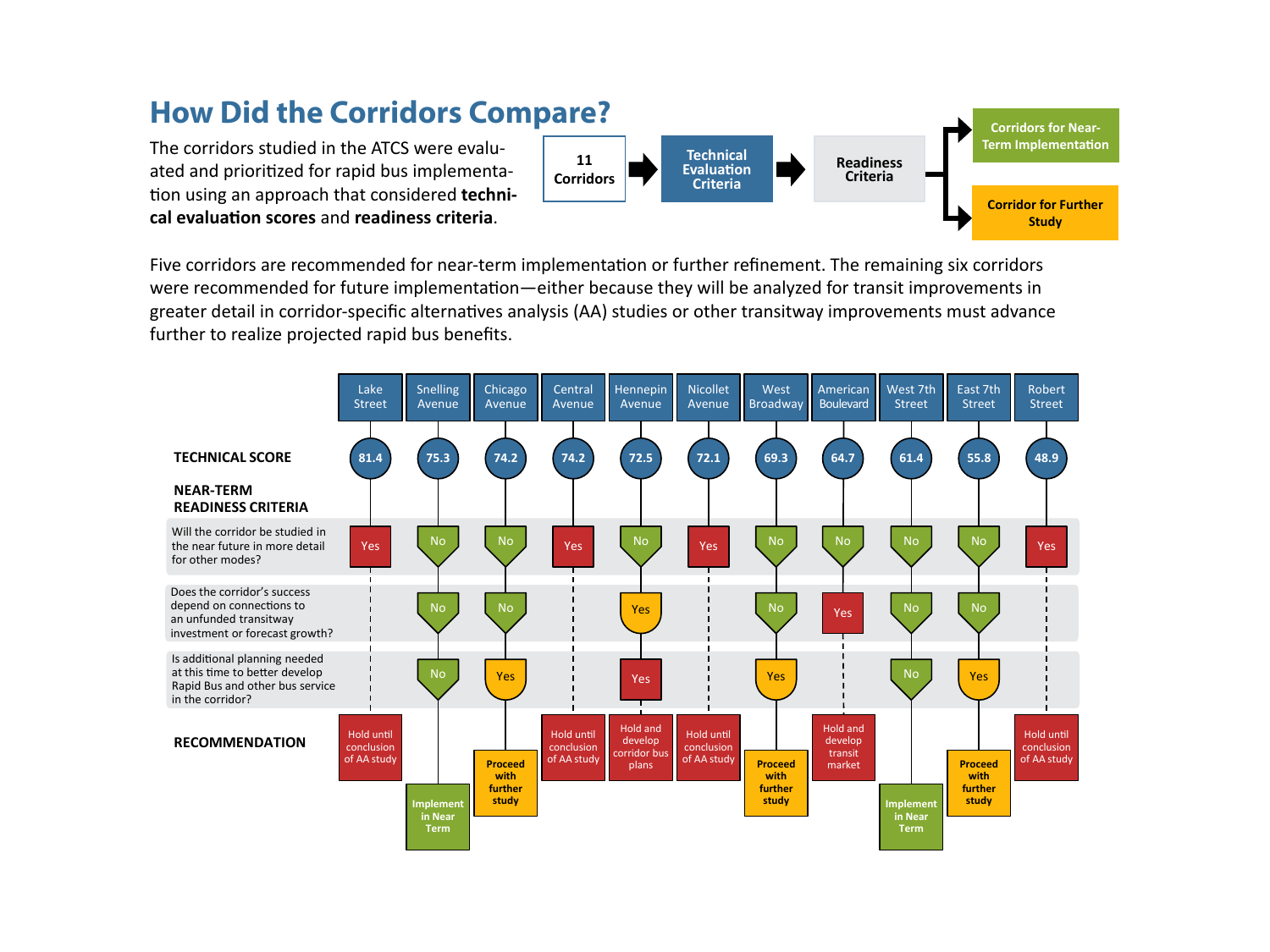## **How Did the Corridors Compare?**

The corridors studied in the ATCS were evaluated and prioritized for rapid bus implementation using an approach that considered **technical evaluation scores** and **readiness criteria**.



Five corridors are recommended for near-term implementation or further refinement. The remaining six corridors were recommended for future implementation—either because they will be analyzed for transit improvements in greater detail in corridor-specific alternatives analysis (AA) studies or other transitway improvements must advance further to realize projected rapid bus benefits.